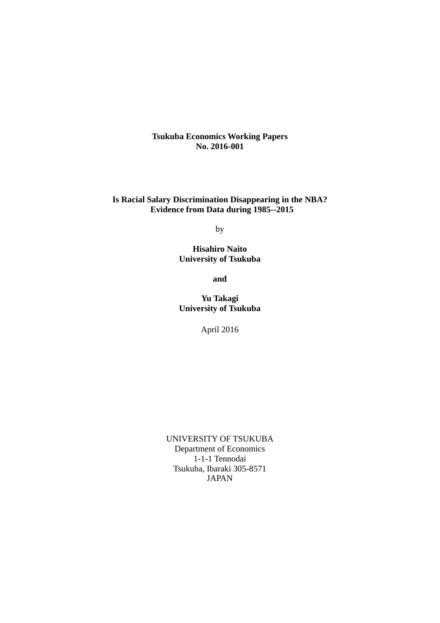**Tsukuba Economics Working Papers No. 2016-001**

**Is Racial Salary Discrimination Disappearing in the NBA? Evidence from Data during 1985--2015** 

by

**Hisahiro Naito University of Tsukuba** 

**and** 

**Yu Takagi University of Tsukuba** 

April 2016

UNIVERSITY OF TSUKUBA Department of Economics 1-1-1 Tennodai Tsukuba, Ibaraki 305-8571 JAPAN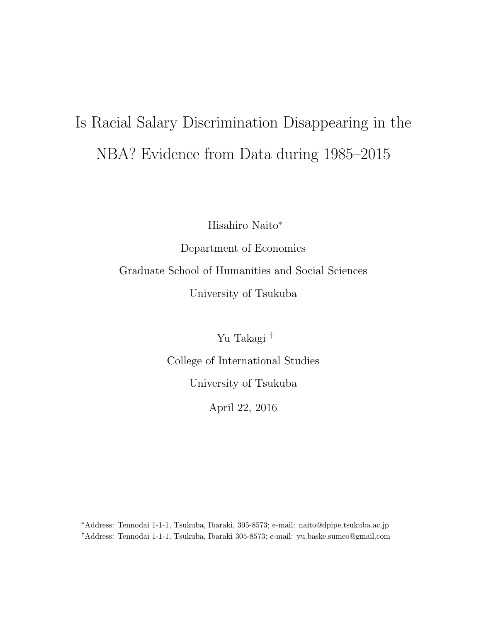# Is Racial Salary Discrimination Disappearing in the NBA? Evidence from Data during 1985–2015

Hisahiro Naito<sup>∗</sup>

Department of Economics Graduate School of Humanities and Social Sciences University of Tsukuba

Yu Takagi †

College of International Studies University of Tsukuba

April 22, 2016

<sup>∗</sup>Address: Tennodai 1-1-1, Tsukuba, Ibaraki, 305-8573; e-mail: naito@dpipe.tsukuba.ac.jp †Address: Tennodai 1-1-1, Tsukuba, Ibaraki 305-8573; e-mail: yu.baske.sumeo@gmail.com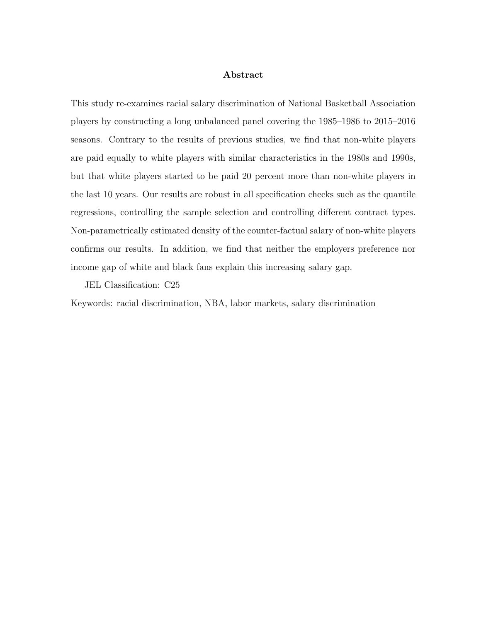### Abstract

This study re-examines racial salary discrimination of National Basketball Association players by constructing a long unbalanced panel covering the 1985–1986 to 2015–2016 seasons. Contrary to the results of previous studies, we find that non-white players are paid equally to white players with similar characteristics in the 1980s and 1990s, but that white players started to be paid 20 percent more than non-white players in the last 10 years. Our results are robust in all specification checks such as the quantile regressions, controlling the sample selection and controlling different contract types. Non-parametrically estimated density of the counter-factual salary of non-white players confirms our results. In addition, we find that neither the employers preference nor income gap of white and black fans explain this increasing salary gap.

JEL Classification: C25

Keywords: racial discrimination, NBA, labor markets, salary discrimination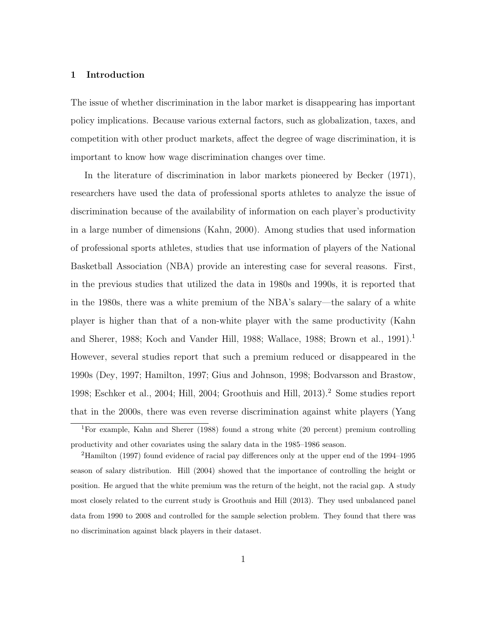### 1 Introduction

The issue of whether discrimination in the labor market is disappearing has important policy implications. Because various external factors, such as globalization, taxes, and competition with other product markets, affect the degree of wage discrimination, it is important to know how wage discrimination changes over time.

In the literature of discrimination in labor markets pioneered by Becker (1971), researchers have used the data of professional sports athletes to analyze the issue of discrimination because of the availability of information on each player's productivity in a large number of dimensions (Kahn, 2000). Among studies that used information of professional sports athletes, studies that use information of players of the National Basketball Association (NBA) provide an interesting case for several reasons. First, in the previous studies that utilized the data in 1980s and 1990s, it is reported that in the 1980s, there was a white premium of the NBA's salary—the salary of a white player is higher than that of a non-white player with the same productivity (Kahn and Sherer, 1988; Koch and Vander Hill, 1988; Wallace, 1988; Brown et al., 1991).<sup>1</sup> However, several studies report that such a premium reduced or disappeared in the 1990s (Dey, 1997; Hamilton, 1997; Gius and Johnson, 1998; Bodvarsson and Brastow, 1998; Eschker et al., 2004; Hill, 2004; Groothuis and Hill, 2013).<sup>2</sup> Some studies report that in the 2000s, there was even reverse discrimination against white players (Yang

<sup>1</sup>For example, Kahn and Sherer (1988) found a strong white (20 percent) premium controlling productivity and other covariates using the salary data in the 1985–1986 season.

<sup>&</sup>lt;sup>2</sup>Hamilton (1997) found evidence of racial pay differences only at the upper end of the 1994–1995 season of salary distribution. Hill (2004) showed that the importance of controlling the height or position. He argued that the white premium was the return of the height, not the racial gap. A study most closely related to the current study is Groothuis and Hill (2013). They used unbalanced panel data from 1990 to 2008 and controlled for the sample selection problem. They found that there was no discrimination against black players in their dataset.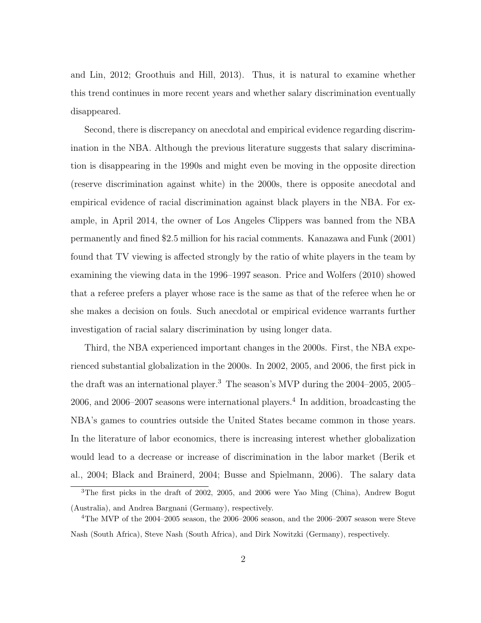and Lin, 2012; Groothuis and Hill, 2013). Thus, it is natural to examine whether this trend continues in more recent years and whether salary discrimination eventually disappeared.

Second, there is discrepancy on anecdotal and empirical evidence regarding discrimination in the NBA. Although the previous literature suggests that salary discrimination is disappearing in the 1990s and might even be moving in the opposite direction (reserve discrimination against white) in the 2000s, there is opposite anecdotal and empirical evidence of racial discrimination against black players in the NBA. For example, in April 2014, the owner of Los Angeles Clippers was banned from the NBA permanently and fined \$2.5 million for his racial comments. Kanazawa and Funk (2001) found that TV viewing is affected strongly by the ratio of white players in the team by examining the viewing data in the 1996–1997 season. Price and Wolfers (2010) showed that a referee prefers a player whose race is the same as that of the referee when he or she makes a decision on fouls. Such anecdotal or empirical evidence warrants further investigation of racial salary discrimination by using longer data.

Third, the NBA experienced important changes in the 2000s. First, the NBA experienced substantial globalization in the 2000s. In 2002, 2005, and 2006, the first pick in the draft was an international player.<sup>3</sup> The season's MVP during the 2004–2005, 2005–  $2006$ , and  $2006-2007$  seasons were international players.<sup>4</sup> In addition, broadcasting the NBA's games to countries outside the United States became common in those years. In the literature of labor economics, there is increasing interest whether globalization would lead to a decrease or increase of discrimination in the labor market (Berik et al., 2004; Black and Brainerd, 2004; Busse and Spielmann, 2006). The salary data

<sup>3</sup>The first picks in the draft of 2002, 2005, and 2006 were Yao Ming (China), Andrew Bogut (Australia), and Andrea Bargnani (Germany), respectively.

 $4$ The MVP of the 2004–2005 season, the 2006–2006 season, and the 2006–2007 season were Steve Nash (South Africa), Steve Nash (South Africa), and Dirk Nowitzki (Germany), respectively.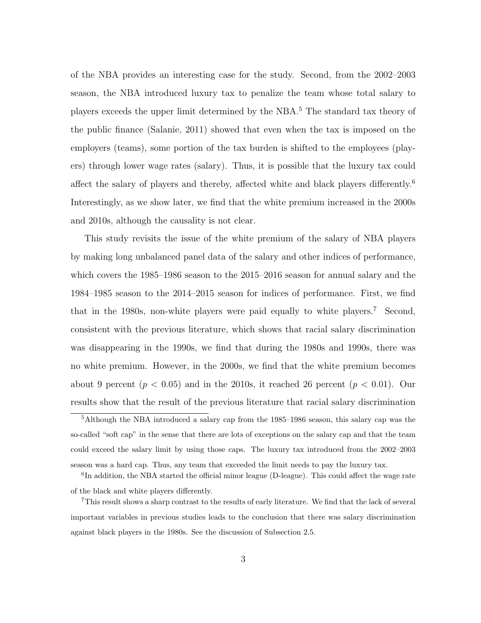of the NBA provides an interesting case for the study. Second, from the 2002–2003 season, the NBA introduced luxury tax to penalize the team whose total salary to players exceeds the upper limit determined by the NBA.<sup>5</sup> The standard tax theory of the public finance (Salanie, 2011) showed that even when the tax is imposed on the employers (teams), some portion of the tax burden is shifted to the employees (players) through lower wage rates (salary). Thus, it is possible that the luxury tax could affect the salary of players and thereby, affected white and black players differently.<sup>6</sup> Interestingly, as we show later, we find that the white premium increased in the 2000s and 2010s, although the causality is not clear.

This study revisits the issue of the white premium of the salary of NBA players by making long unbalanced panel data of the salary and other indices of performance, which covers the 1985–1986 season to the 2015–2016 season for annual salary and the 1984–1985 season to the 2014–2015 season for indices of performance. First, we find that in the 1980s, non-white players were paid equally to white players.<sup>7</sup> Second, consistent with the previous literature, which shows that racial salary discrimination was disappearing in the 1990s, we find that during the 1980s and 1990s, there was no white premium. However, in the 2000s, we find that the white premium becomes about 9 percent  $(p < 0.05)$  and in the 2010s, it reached 26 percent  $(p < 0.01)$ . Our results show that the result of the previous literature that racial salary discrimination

<sup>5</sup>Although the NBA introduced a salary cap from the 1985–1986 season, this salary cap was the so-called "soft cap" in the sense that there are lots of exceptions on the salary cap and that the team could exceed the salary limit by using those caps. The luxury tax introduced from the 2002–2003 season was a hard cap. Thus, any team that exceeded the limit needs to pay the luxury tax.

<sup>&</sup>lt;sup>6</sup>In addition, the NBA started the official minor league (D-league). This could affect the wage rate of the black and white players differently.

<sup>&</sup>lt;sup>7</sup>This result shows a sharp contrast to the results of early literature. We find that the lack of several important variables in previous studies leads to the conclusion that there was salary discrimination against black players in the 1980s. See the discussion of Subsection 2.5.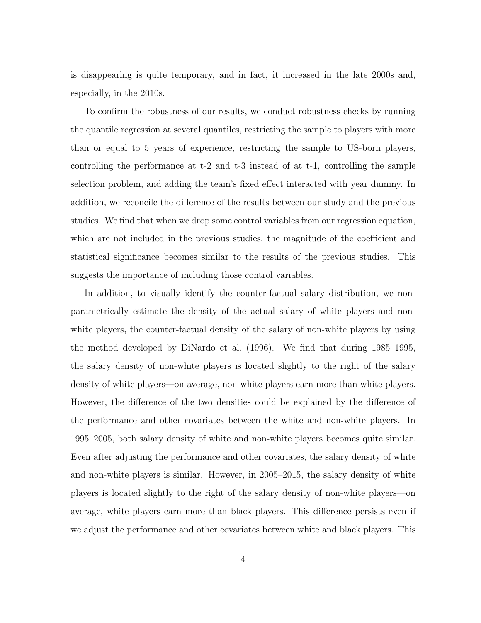is disappearing is quite temporary, and in fact, it increased in the late 2000s and, especially, in the 2010s.

To confirm the robustness of our results, we conduct robustness checks by running the quantile regression at several quantiles, restricting the sample to players with more than or equal to 5 years of experience, restricting the sample to US-born players, controlling the performance at t-2 and t-3 instead of at t-1, controlling the sample selection problem, and adding the team's fixed effect interacted with year dummy. In addition, we reconcile the difference of the results between our study and the previous studies. We find that when we drop some control variables from our regression equation, which are not included in the previous studies, the magnitude of the coefficient and statistical significance becomes similar to the results of the previous studies. This suggests the importance of including those control variables.

In addition, to visually identify the counter-factual salary distribution, we nonparametrically estimate the density of the actual salary of white players and nonwhite players, the counter-factual density of the salary of non-white players by using the method developed by DiNardo et al. (1996). We find that during 1985–1995, the salary density of non-white players is located slightly to the right of the salary density of white players—on average, non-white players earn more than white players. However, the difference of the two densities could be explained by the difference of the performance and other covariates between the white and non-white players. In 1995–2005, both salary density of white and non-white players becomes quite similar. Even after adjusting the performance and other covariates, the salary density of white and non-white players is similar. However, in 2005–2015, the salary density of white players is located slightly to the right of the salary density of non-white players—on average, white players earn more than black players. This difference persists even if we adjust the performance and other covariates between white and black players. This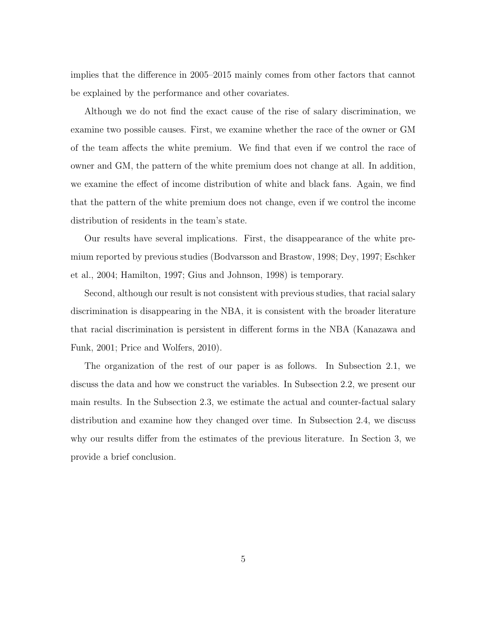implies that the difference in 2005–2015 mainly comes from other factors that cannot be explained by the performance and other covariates.

Although we do not find the exact cause of the rise of salary discrimination, we examine two possible causes. First, we examine whether the race of the owner or GM of the team affects the white premium. We find that even if we control the race of owner and GM, the pattern of the white premium does not change at all. In addition, we examine the effect of income distribution of white and black fans. Again, we find that the pattern of the white premium does not change, even if we control the income distribution of residents in the team's state.

Our results have several implications. First, the disappearance of the white premium reported by previous studies (Bodvarsson and Brastow, 1998; Dey, 1997; Eschker et al., 2004; Hamilton, 1997; Gius and Johnson, 1998) is temporary.

Second, although our result is not consistent with previous studies, that racial salary discrimination is disappearing in the NBA, it is consistent with the broader literature that racial discrimination is persistent in different forms in the NBA (Kanazawa and Funk, 2001; Price and Wolfers, 2010).

The organization of the rest of our paper is as follows. In Subsection 2.1, we discuss the data and how we construct the variables. In Subsection 2.2, we present our main results. In the Subsection 2.3, we estimate the actual and counter-factual salary distribution and examine how they changed over time. In Subsection 2.4, we discuss why our results differ from the estimates of the previous literature. In Section 3, we provide a brief conclusion.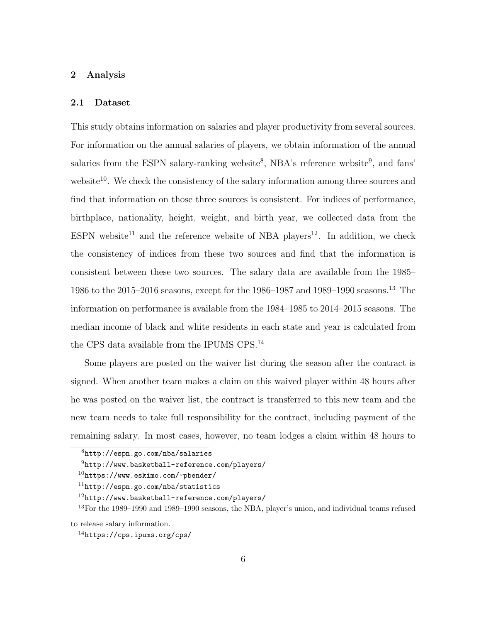## 2 Analysis

#### 2.1 Dataset

This study obtains information on salaries and player productivity from several sources. For information on the annual salaries of players, we obtain information of the annual salaries from the ESPN salary-ranking website<sup>8</sup>, NBA's reference website<sup>9</sup>, and fans' website<sup>10</sup>. We check the consistency of the salary information among three sources and find that information on those three sources is consistent. For indices of performance, birthplace, nationality, height, weight, and birth year, we collected data from the ESPN website<sup>11</sup> and the reference website of NBA players<sup>12</sup>. In addition, we check the consistency of indices from these two sources and find that the information is consistent between these two sources. The salary data are available from the 1985– 1986 to the 2015–2016 seasons, except for the 1986–1987 and 1989–1990 seasons.<sup>13</sup> The information on performance is available from the 1984–1985 to 2014–2015 seasons. The median income of black and white residents in each state and year is calculated from the CPS data available from the IPUMS CPS.<sup>14</sup>

Some players are posted on the waiver list during the season after the contract is signed. When another team makes a claim on this waived player within 48 hours after he was posted on the waiver list, the contract is transferred to this new team and the new team needs to take full responsibility for the contract, including payment of the remaining salary. In most cases, however, no team lodges a claim within 48 hours to

<sup>8</sup>http://espn.go.com/nba/salaries

 $^{9}$ http://www.basketball-reference.com/players/

<sup>10</sup>https://www.eskimo.com/~pbender/

 $11$ http://espn.go.com/nba/statistics

<sup>12</sup>http://www.basketball-reference.com/players/

<sup>13</sup>For the 1989–1990 and 1989–1990 seasons, the NBA, player's union, and individual teams refused to release salary information.

<sup>14</sup>https://cps.ipums.org/cps/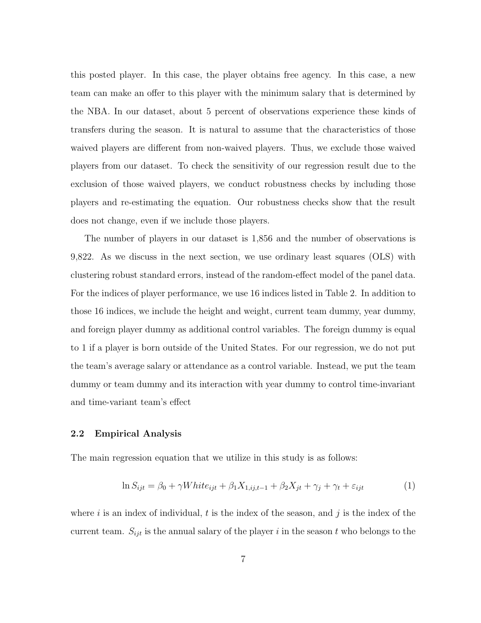this posted player. In this case, the player obtains free agency. In this case, a new team can make an offer to this player with the minimum salary that is determined by the NBA. In our dataset, about 5 percent of observations experience these kinds of transfers during the season. It is natural to assume that the characteristics of those waived players are different from non-waived players. Thus, we exclude those waived players from our dataset. To check the sensitivity of our regression result due to the exclusion of those waived players, we conduct robustness checks by including those players and re-estimating the equation. Our robustness checks show that the result does not change, even if we include those players.

The number of players in our dataset is 1,856 and the number of observations is 9,822. As we discuss in the next section, we use ordinary least squares (OLS) with clustering robust standard errors, instead of the random-effect model of the panel data. For the indices of player performance, we use 16 indices listed in Table 2. In addition to those 16 indices, we include the height and weight, current team dummy, year dummy, and foreign player dummy as additional control variables. The foreign dummy is equal to 1 if a player is born outside of the United States. For our regression, we do not put the team's average salary or attendance as a control variable. Instead, we put the team dummy or team dummy and its interaction with year dummy to control time-invariant and time-variant team's effect

### 2.2 Empirical Analysis

The main regression equation that we utilize in this study is as follows:

$$
\ln S_{ijt} = \beta_0 + \gamma White_{ijt} + \beta_1 X_{1,ij,t-1} + \beta_2 X_{jt} + \gamma_j + \gamma_t + \varepsilon_{ijt}
$$
\n<sup>(1)</sup>

where i is an index of individual, t is the index of the season, and j is the index of the current team.  $S_{ijt}$  is the annual salary of the player i in the season t who belongs to the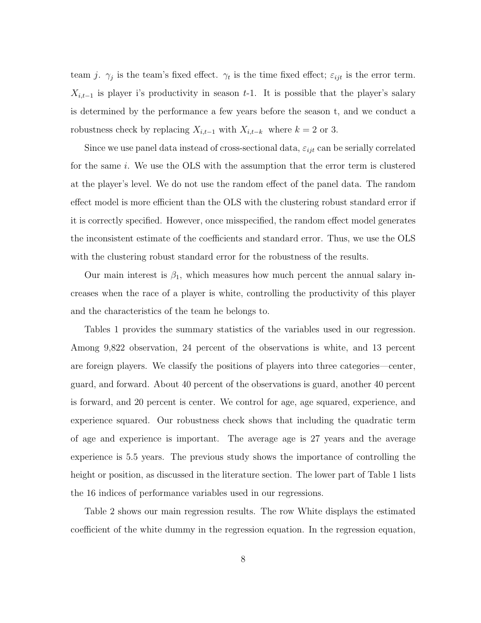team j.  $\gamma_j$  is the team's fixed effect.  $\gamma_t$  is the time fixed effect;  $\varepsilon_{ijt}$  is the error term.  $X_{i,t-1}$  is player i's productivity in season t-1. It is possible that the player's salary is determined by the performance a few years before the season t, and we conduct a robustness check by replacing  $X_{i,t-1}$  with  $X_{i,t-k}$  where  $k = 2$  or 3.

Since we use panel data instead of cross-sectional data,  $\varepsilon_{ijt}$  can be serially correlated for the same i. We use the OLS with the assumption that the error term is clustered at the player's level. We do not use the random effect of the panel data. The random effect model is more efficient than the OLS with the clustering robust standard error if it is correctly specified. However, once misspecified, the random effect model generates the inconsistent estimate of the coefficients and standard error. Thus, we use the OLS with the clustering robust standard error for the robustness of the results.

Our main interest is  $\beta_1$ , which measures how much percent the annual salary increases when the race of a player is white, controlling the productivity of this player and the characteristics of the team he belongs to.

Tables 1 provides the summary statistics of the variables used in our regression. Among 9,822 observation, 24 percent of the observations is white, and 13 percent are foreign players. We classify the positions of players into three categories—center, guard, and forward. About 40 percent of the observations is guard, another 40 percent is forward, and 20 percent is center. We control for age, age squared, experience, and experience squared. Our robustness check shows that including the quadratic term of age and experience is important. The average age is 27 years and the average experience is 5.5 years. The previous study shows the importance of controlling the height or position, as discussed in the literature section. The lower part of Table 1 lists the 16 indices of performance variables used in our regressions.

Table 2 shows our main regression results. The row White displays the estimated coefficient of the white dummy in the regression equation. In the regression equation,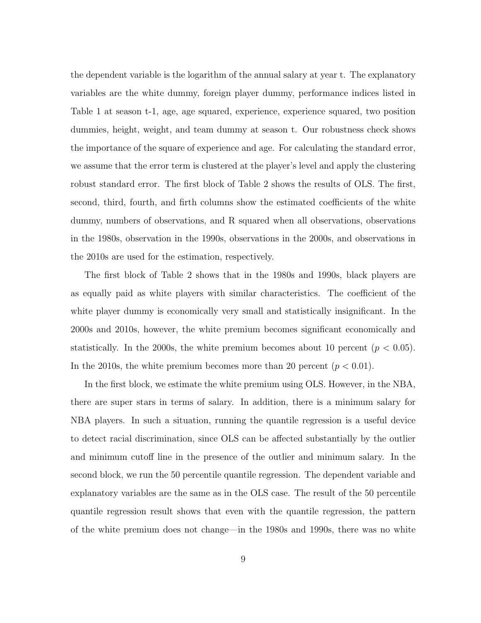the dependent variable is the logarithm of the annual salary at year t. The explanatory variables are the white dummy, foreign player dummy, performance indices listed in Table 1 at season t-1, age, age squared, experience, experience squared, two position dummies, height, weight, and team dummy at season t. Our robustness check shows the importance of the square of experience and age. For calculating the standard error, we assume that the error term is clustered at the player's level and apply the clustering robust standard error. The first block of Table 2 shows the results of OLS. The first, second, third, fourth, and firth columns show the estimated coefficients of the white dummy, numbers of observations, and R squared when all observations, observations in the 1980s, observation in the 1990s, observations in the 2000s, and observations in the 2010s are used for the estimation, respectively.

The first block of Table 2 shows that in the 1980s and 1990s, black players are as equally paid as white players with similar characteristics. The coefficient of the white player dummy is economically very small and statistically insignificant. In the 2000s and 2010s, however, the white premium becomes significant economically and statistically. In the 2000s, the white premium becomes about 10 percent ( $p < 0.05$ ). In the 2010s, the white premium becomes more than 20 percent  $(p < 0.01)$ .

In the first block, we estimate the white premium using OLS. However, in the NBA, there are super stars in terms of salary. In addition, there is a minimum salary for NBA players. In such a situation, running the quantile regression is a useful device to detect racial discrimination, since OLS can be affected substantially by the outlier and minimum cutoff line in the presence of the outlier and minimum salary. In the second block, we run the 50 percentile quantile regression. The dependent variable and explanatory variables are the same as in the OLS case. The result of the 50 percentile quantile regression result shows that even with the quantile regression, the pattern of the white premium does not change—in the 1980s and 1990s, there was no white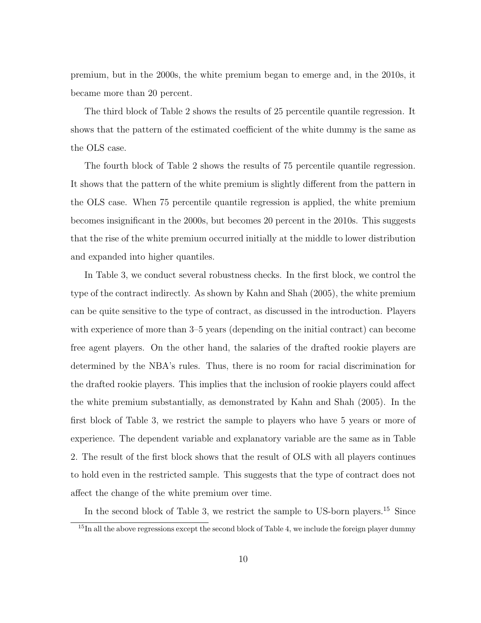premium, but in the 2000s, the white premium began to emerge and, in the 2010s, it became more than 20 percent.

The third block of Table 2 shows the results of 25 percentile quantile regression. It shows that the pattern of the estimated coefficient of the white dummy is the same as the OLS case.

The fourth block of Table 2 shows the results of 75 percentile quantile regression. It shows that the pattern of the white premium is slightly different from the pattern in the OLS case. When 75 percentile quantile regression is applied, the white premium becomes insignificant in the 2000s, but becomes 20 percent in the 2010s. This suggests that the rise of the white premium occurred initially at the middle to lower distribution and expanded into higher quantiles.

In Table 3, we conduct several robustness checks. In the first block, we control the type of the contract indirectly. As shown by Kahn and Shah (2005), the white premium can be quite sensitive to the type of contract, as discussed in the introduction. Players with experience of more than 3–5 years (depending on the initial contract) can become free agent players. On the other hand, the salaries of the drafted rookie players are determined by the NBA's rules. Thus, there is no room for racial discrimination for the drafted rookie players. This implies that the inclusion of rookie players could affect the white premium substantially, as demonstrated by Kahn and Shah (2005). In the first block of Table 3, we restrict the sample to players who have 5 years or more of experience. The dependent variable and explanatory variable are the same as in Table 2. The result of the first block shows that the result of OLS with all players continues to hold even in the restricted sample. This suggests that the type of contract does not affect the change of the white premium over time.

In the second block of Table 3, we restrict the sample to US-born players.<sup>15</sup> Since

<sup>&</sup>lt;sup>15</sup>In all the above regressions except the second block of Table 4, we include the foreign player dummy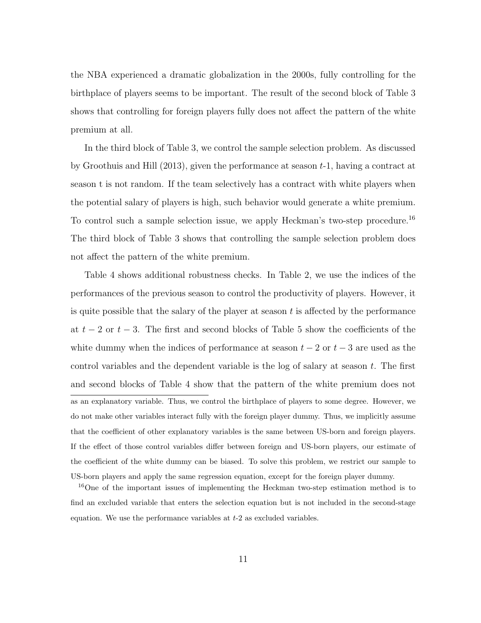the NBA experienced a dramatic globalization in the 2000s, fully controlling for the birthplace of players seems to be important. The result of the second block of Table 3 shows that controlling for foreign players fully does not affect the pattern of the white premium at all.

In the third block of Table 3, we control the sample selection problem. As discussed by Groothuis and Hill  $(2013)$ , given the performance at season  $t-1$ , having a contract at season t is not random. If the team selectively has a contract with white players when the potential salary of players is high, such behavior would generate a white premium. To control such a sample selection issue, we apply Heckman's two-step procedure.<sup>16</sup> The third block of Table 3 shows that controlling the sample selection problem does not affect the pattern of the white premium.

Table 4 shows additional robustness checks. In Table 2, we use the indices of the performances of the previous season to control the productivity of players. However, it is quite possible that the salary of the player at season  $t$  is affected by the performance at  $t-2$  or  $t-3$ . The first and second blocks of Table 5 show the coefficients of the white dummy when the indices of performance at season  $t - 2$  or  $t - 3$  are used as the control variables and the dependent variable is the log of salary at season  $t$ . The first and second blocks of Table 4 show that the pattern of the white premium does not as an explanatory variable. Thus, we control the birthplace of players to some degree. However, we do not make other variables interact fully with the foreign player dummy. Thus, we implicitly assume that the coefficient of other explanatory variables is the same between US-born and foreign players. If the effect of those control variables differ between foreign and US-born players, our estimate of the coefficient of the white dummy can be biased. To solve this problem, we restrict our sample to US-born players and apply the same regression equation, except for the foreign player dummy.

<sup>16</sup>One of the important issues of implementing the Heckman two-step estimation method is to find an excluded variable that enters the selection equation but is not included in the second-stage equation. We use the performance variables at  $t-2$  as excluded variables.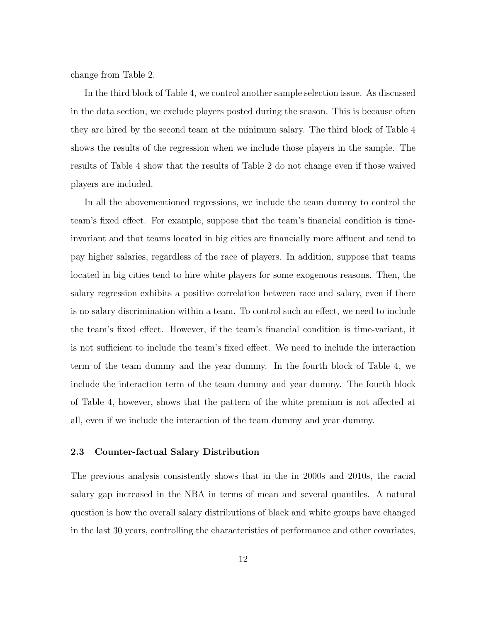change from Table 2.

In the third block of Table 4, we control another sample selection issue. As discussed in the data section, we exclude players posted during the season. This is because often they are hired by the second team at the minimum salary. The third block of Table 4 shows the results of the regression when we include those players in the sample. The results of Table 4 show that the results of Table 2 do not change even if those waived players are included.

In all the abovementioned regressions, we include the team dummy to control the team's fixed effect. For example, suppose that the team's financial condition is timeinvariant and that teams located in big cities are financially more affluent and tend to pay higher salaries, regardless of the race of players. In addition, suppose that teams located in big cities tend to hire white players for some exogenous reasons. Then, the salary regression exhibits a positive correlation between race and salary, even if there is no salary discrimination within a team. To control such an effect, we need to include the team's fixed effect. However, if the team's financial condition is time-variant, it is not sufficient to include the team's fixed effect. We need to include the interaction term of the team dummy and the year dummy. In the fourth block of Table 4, we include the interaction term of the team dummy and year dummy. The fourth block of Table 4, however, shows that the pattern of the white premium is not affected at all, even if we include the interaction of the team dummy and year dummy.

# 2.3 Counter-factual Salary Distribution

The previous analysis consistently shows that in the in 2000s and 2010s, the racial salary gap increased in the NBA in terms of mean and several quantiles. A natural question is how the overall salary distributions of black and white groups have changed in the last 30 years, controlling the characteristics of performance and other covariates,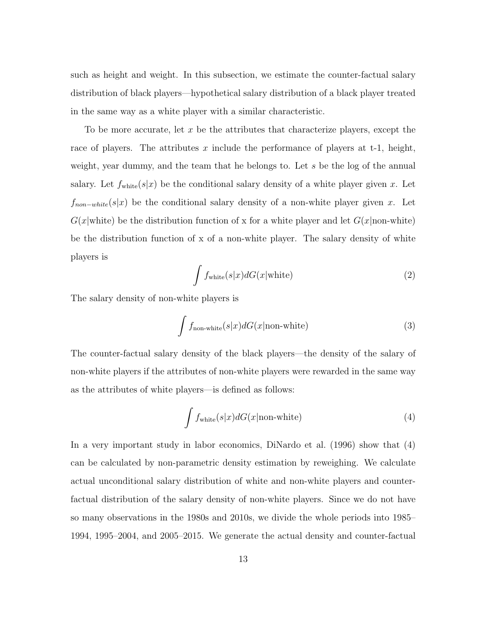such as height and weight. In this subsection, we estimate the counter-factual salary distribution of black players—hypothetical salary distribution of a black player treated in the same way as a white player with a similar characteristic.

To be more accurate, let x be the attributes that characterize players, except the race of players. The attributes x include the performance of players at t-1, height, weight, year dummy, and the team that he belongs to. Let s be the log of the annual salary. Let  $f_{\text{white}}(s|x)$  be the conditional salary density of a white player given x. Let  $f_{non-white}(s|x)$  be the conditional salary density of a non-white player given x. Let  $G(x|white)$  be the distribution function of x for a white player and let  $G(x|non-white)$ be the distribution function of x of a non-white player. The salary density of white players is

$$
\int f_{\text{white}}(s|x)dG(x|\text{white})
$$
\n(2)

The salary density of non-white players is

$$
\int f_{\text{non-white}}(s|x)dG(x|\text{non-white})
$$
\n(3)

The counter-factual salary density of the black players—the density of the salary of non-white players if the attributes of non-white players were rewarded in the same way as the attributes of white players—is defined as follows:

$$
\int f_{\text{white}}(s|x)dG(x|\text{non-white})\tag{4}
$$

In a very important study in labor economics, DiNardo et al. (1996) show that (4) can be calculated by non-parametric density estimation by reweighing. We calculate actual unconditional salary distribution of white and non-white players and counterfactual distribution of the salary density of non-white players. Since we do not have so many observations in the 1980s and 2010s, we divide the whole periods into 1985– 1994, 1995–2004, and 2005–2015. We generate the actual density and counter-factual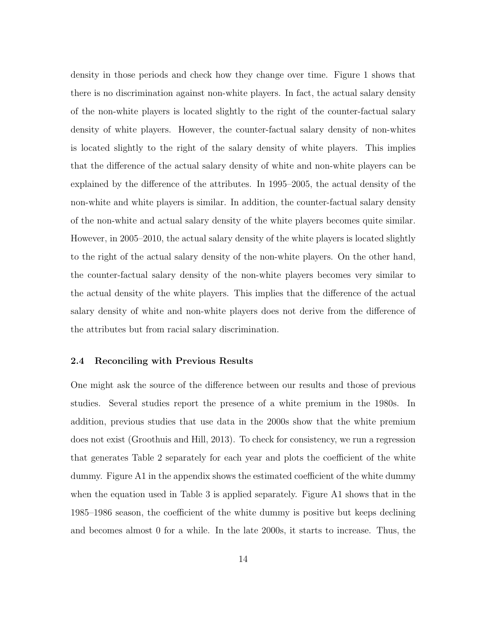density in those periods and check how they change over time. Figure 1 shows that there is no discrimination against non-white players. In fact, the actual salary density of the non-white players is located slightly to the right of the counter-factual salary density of white players. However, the counter-factual salary density of non-whites is located slightly to the right of the salary density of white players. This implies that the difference of the actual salary density of white and non-white players can be explained by the difference of the attributes. In 1995–2005, the actual density of the non-white and white players is similar. In addition, the counter-factual salary density of the non-white and actual salary density of the white players becomes quite similar. However, in 2005–2010, the actual salary density of the white players is located slightly to the right of the actual salary density of the non-white players. On the other hand, the counter-factual salary density of the non-white players becomes very similar to the actual density of the white players. This implies that the difference of the actual salary density of white and non-white players does not derive from the difference of the attributes but from racial salary discrimination.

## 2.4 Reconciling with Previous Results

One might ask the source of the difference between our results and those of previous studies. Several studies report the presence of a white premium in the 1980s. In addition, previous studies that use data in the 2000s show that the white premium does not exist (Groothuis and Hill, 2013). To check for consistency, we run a regression that generates Table 2 separately for each year and plots the coefficient of the white dummy. Figure A1 in the appendix shows the estimated coefficient of the white dummy when the equation used in Table 3 is applied separately. Figure A1 shows that in the 1985–1986 season, the coefficient of the white dummy is positive but keeps declining and becomes almost 0 for a while. In the late 2000s, it starts to increase. Thus, the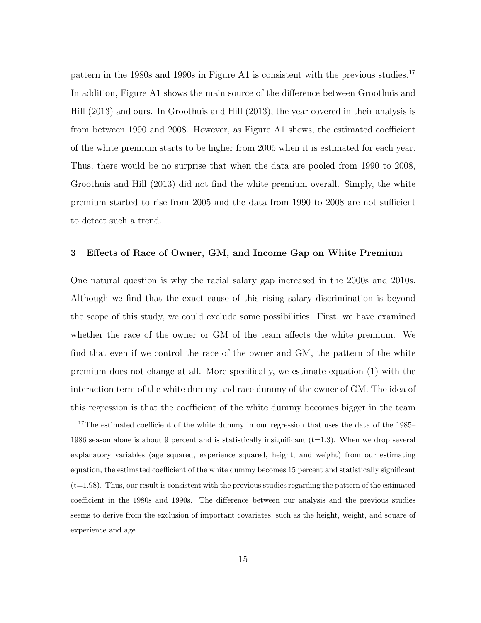pattern in the 1980s and 1990s in Figure A1 is consistent with the previous studies.<sup>17</sup> In addition, Figure A1 shows the main source of the difference between Groothuis and Hill (2013) and ours. In Groothuis and Hill (2013), the year covered in their analysis is from between 1990 and 2008. However, as Figure A1 shows, the estimated coefficient of the white premium starts to be higher from 2005 when it is estimated for each year. Thus, there would be no surprise that when the data are pooled from 1990 to 2008, Groothuis and Hill (2013) did not find the white premium overall. Simply, the white premium started to rise from 2005 and the data from 1990 to 2008 are not sufficient to detect such a trend.

# 3 Effects of Race of Owner, GM, and Income Gap on White Premium

One natural question is why the racial salary gap increased in the 2000s and 2010s. Although we find that the exact cause of this rising salary discrimination is beyond the scope of this study, we could exclude some possibilities. First, we have examined whether the race of the owner or GM of the team affects the white premium. We find that even if we control the race of the owner and GM, the pattern of the white premium does not change at all. More specifically, we estimate equation (1) with the interaction term of the white dummy and race dummy of the owner of GM. The idea of this regression is that the coefficient of the white dummy becomes bigger in the team

<sup>&</sup>lt;sup>17</sup>The estimated coefficient of the white dummy in our regression that uses the data of the 1985– 1986 season alone is about 9 percent and is statistically insignificant  $(t=1.3)$ . When we drop several explanatory variables (age squared, experience squared, height, and weight) from our estimating equation, the estimated coefficient of the white dummy becomes 15 percent and statistically significant  $(t=1.98)$ . Thus, our result is consistent with the previous studies regarding the pattern of the estimated coefficient in the 1980s and 1990s. The difference between our analysis and the previous studies seems to derive from the exclusion of important covariates, such as the height, weight, and square of experience and age.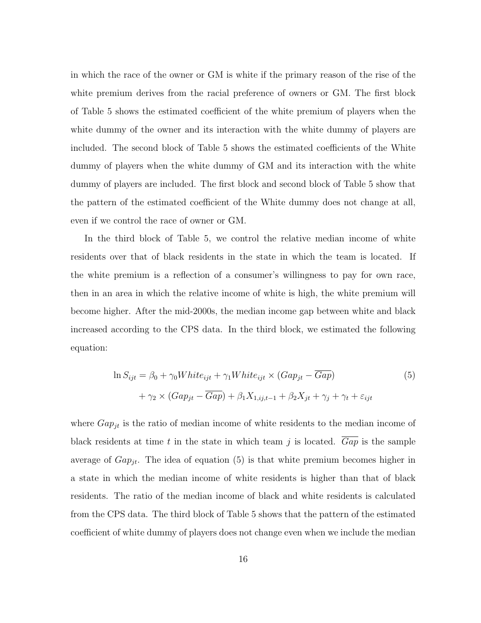in which the race of the owner or GM is white if the primary reason of the rise of the white premium derives from the racial preference of owners or GM. The first block of Table 5 shows the estimated coefficient of the white premium of players when the white dummy of the owner and its interaction with the white dummy of players are included. The second block of Table 5 shows the estimated coefficients of the White dummy of players when the white dummy of GM and its interaction with the white dummy of players are included. The first block and second block of Table 5 show that the pattern of the estimated coefficient of the White dummy does not change at all, even if we control the race of owner or GM.

In the third block of Table 5, we control the relative median income of white residents over that of black residents in the state in which the team is located. If the white premium is a reflection of a consumer's willingness to pay for own race, then in an area in which the relative income of white is high, the white premium will become higher. After the mid-2000s, the median income gap between white and black increased according to the CPS data. In the third block, we estimated the following equation:

$$
\ln S_{ijt} = \beta_0 + \gamma_0 White_{ijt} + \gamma_1 White_{ijt} \times (Gap_{jt} - \overline{Gap})
$$
\n
$$
+ \gamma_2 \times (Gap_{jt} - \overline{Gap}) + \beta_1 X_{1,ij,t-1} + \beta_2 X_{jt} + \gamma_j + \gamma_t + \varepsilon_{ijt}
$$
\n
$$
(5)
$$

where  $Gap_{jt}$  is the ratio of median income of white residents to the median income of black residents at time t in the state in which team  $\dot{\eta}$  is located. Gap is the sample average of  $Gap_{it}$ . The idea of equation (5) is that white premium becomes higher in a state in which the median income of white residents is higher than that of black residents. The ratio of the median income of black and white residents is calculated from the CPS data. The third block of Table 5 shows that the pattern of the estimated coefficient of white dummy of players does not change even when we include the median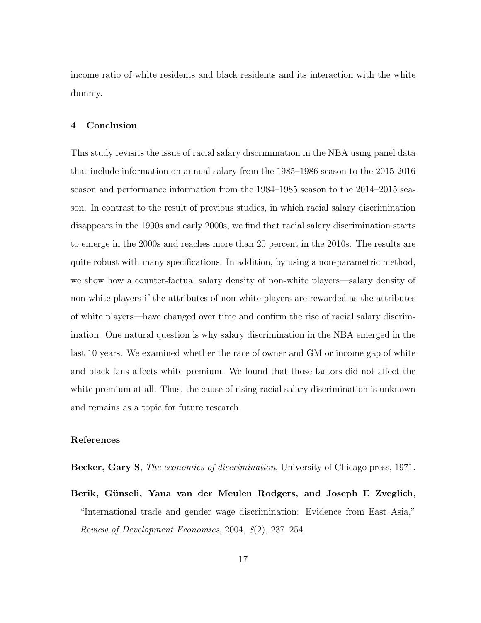income ratio of white residents and black residents and its interaction with the white dummy.

# 4 Conclusion

This study revisits the issue of racial salary discrimination in the NBA using panel data that include information on annual salary from the 1985–1986 season to the 2015-2016 season and performance information from the 1984–1985 season to the 2014–2015 season. In contrast to the result of previous studies, in which racial salary discrimination disappears in the 1990s and early 2000s, we find that racial salary discrimination starts to emerge in the 2000s and reaches more than 20 percent in the 2010s. The results are quite robust with many specifications. In addition, by using a non-parametric method, we show how a counter-factual salary density of non-white players—salary density of non-white players if the attributes of non-white players are rewarded as the attributes of white players—have changed over time and confirm the rise of racial salary discrimination. One natural question is why salary discrimination in the NBA emerged in the last 10 years. We examined whether the race of owner and GM or income gap of white and black fans affects white premium. We found that those factors did not affect the white premium at all. Thus, the cause of rising racial salary discrimination is unknown and remains as a topic for future research.

## References

Becker, Gary S, The economics of discrimination, University of Chicago press, 1971.

Berik, Günseli, Yana van der Meulen Rodgers, and Joseph E Zveglich, "International trade and gender wage discrimination: Evidence from East Asia," Review of Development Economics, 2004, 8(2), 237–254.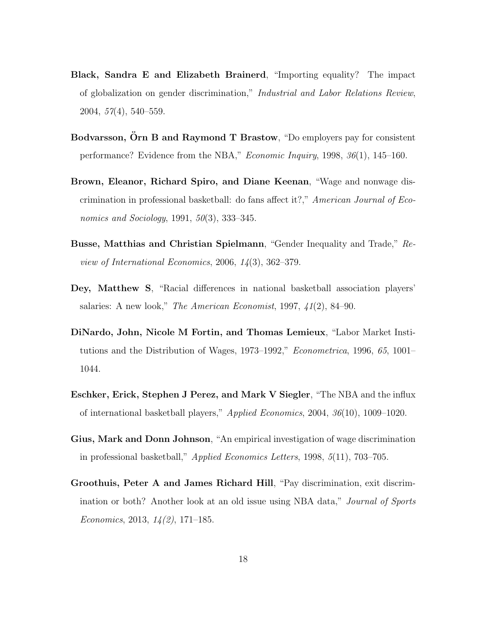- Black, Sandra E and Elizabeth Brainerd, "Importing equality? The impact of globalization on gender discrimination," Industrial and Labor Relations Review, 2004, 57(4), 540–559.
- Bodvarsson, Orn B and Raymond T Brastow, "Do employers pay for consistent performance? Evidence from the NBA," Economic Inquiry, 1998, 36(1), 145–160.
- Brown, Eleanor, Richard Spiro, and Diane Keenan, "Wage and nonwage discrimination in professional basketball: do fans affect it?," American Journal of Economics and Sociology, 1991, 50(3), 333–345.
- Busse, Matthias and Christian Spielmann, "Gender Inequality and Trade," Review of International Economics, 2006, 14(3), 362–379.
- Dey, Matthew S, "Racial differences in national basketball association players' salaries: A new look," The American Economist, 1997, 41(2), 84–90.
- DiNardo, John, Nicole M Fortin, and Thomas Lemieux, "Labor Market Institutions and the Distribution of Wages, 1973–1992," Econometrica, 1996, 65, 1001– 1044.
- Eschker, Erick, Stephen J Perez, and Mark V Siegler, "The NBA and the influx of international basketball players," Applied Economics, 2004, 36(10), 1009–1020.
- Gius, Mark and Donn Johnson, "An empirical investigation of wage discrimination in professional basketball," Applied Economics Letters, 1998, 5(11), 703–705.
- Groothuis, Peter A and James Richard Hill, "Pay discrimination, exit discrimination or both? Another look at an old issue using NBA data," Journal of Sports Economics, 2013,  $14(2)$ , 171–185.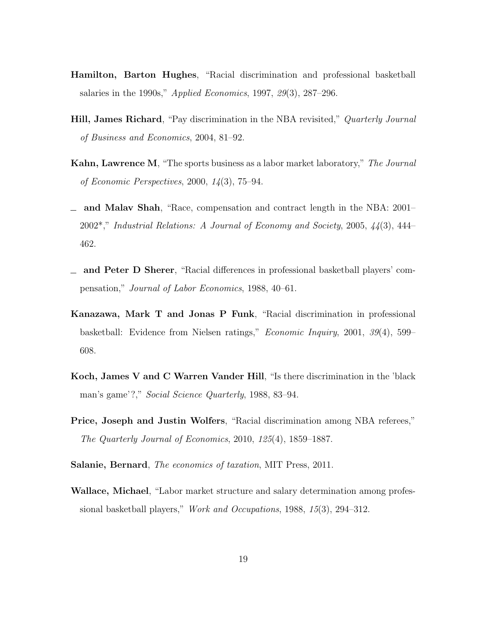- Hamilton, Barton Hughes, "Racial discrimination and professional basketball salaries in the 1990s," Applied Economics, 1997, 29(3), 287–296.
- **Hill, James Richard**, "Pay discrimination in the NBA revisited," *Quarterly Journal* of Business and Economics, 2004, 81–92.
- Kahn, Lawrence M, "The sports business as a labor market laboratory," The Journal of Economic Perspectives, 2000, 14(3), 75–94.
- and Malav Shah, "Race, compensation and contract length in the NBA: 2001– 2002\*," Industrial Relations: A Journal of Economy and Society, 2005, 44(3), 444– 462.
- and Peter D Sherer, "Racial differences in professional basketball players' compensation," Journal of Labor Economics, 1988, 40–61.
- Kanazawa, Mark T and Jonas P Funk, "Racial discrimination in professional basketball: Evidence from Nielsen ratings," Economic Inquiry, 2001, 39(4), 599– 608.
- Koch, James V and C Warren Vander Hill, "Is there discrimination in the 'black man's game'?," Social Science Quarterly, 1988, 83–94.
- Price, Joseph and Justin Wolfers, "Racial discrimination among NBA referees," The Quarterly Journal of Economics, 2010, 125(4), 1859–1887.
- Salanie, Bernard, The economics of taxation, MIT Press, 2011.
- Wallace, Michael, "Labor market structure and salary determination among professional basketball players," Work and Occupations, 1988, 15(3), 294–312.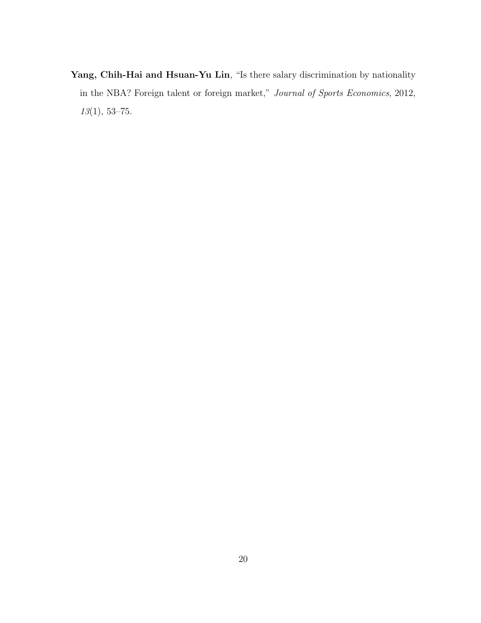Yang, Chih-Hai and Hsuan-Yu Lin, "Is there salary discrimination by nationality in the NBA? Foreign talent or foreign market," Journal of Sports Economics, 2012, 13(1), 53–75.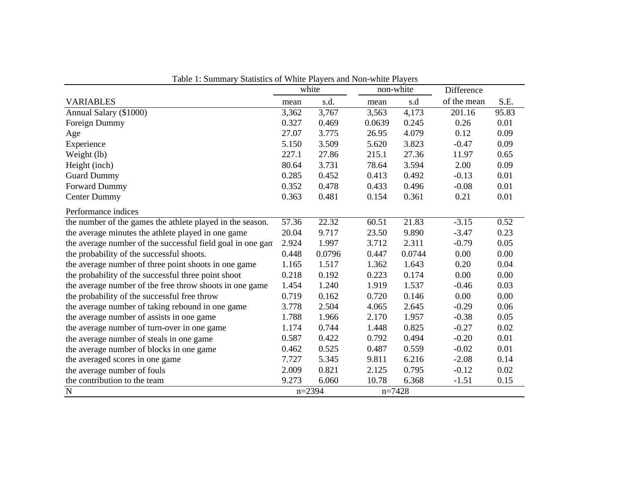|                                                            | white |          | non-white |        | Difference  |       |
|------------------------------------------------------------|-------|----------|-----------|--------|-------------|-------|
| <b>VARIABLES</b>                                           | mean  | s.d.     | mean      | s.d    | of the mean | S.E.  |
| Annual Salary (\$1000)                                     | 3,362 | 3,767    | 3,563     | 4,173  | 201.16      | 95.83 |
| Foreign Dummy                                              | 0.327 | 0.469    | 0.0639    | 0.245  | 0.26        | 0.01  |
| Age                                                        | 27.07 | 3.775    | 26.95     | 4.079  | 0.12        | 0.09  |
| Experience                                                 | 5.150 | 3.509    | 5.620     | 3.823  | $-0.47$     | 0.09  |
| Weight (lb)                                                | 227.1 | 27.86    | 215.1     | 27.36  | 11.97       | 0.65  |
| Height (inch)                                              | 80.64 | 3.731    | 78.64     | 3.594  | 2.00        | 0.09  |
| <b>Guard Dummy</b>                                         | 0.285 | 0.452    | 0.413     | 0.492  | $-0.13$     | 0.01  |
| Forward Dummy                                              | 0.352 | 0.478    | 0.433     | 0.496  | $-0.08$     | 0.01  |
| <b>Center Dummy</b>                                        | 0.363 | 0.481    | 0.154     | 0.361  | 0.21        | 0.01  |
| Performance indices                                        |       |          |           |        |             |       |
| the number of the games the athlete played in the season.  | 57.36 | 22.32    | 60.51     | 21.83  | $-3.15$     | 0.52  |
| the average minutes the athlete played in one game         | 20.04 | 9.717    | 23.50     | 9.890  | $-3.47$     | 0.23  |
| the average number of the successful field goal in one gan | 2.924 | 1.997    | 3.712     | 2.311  | $-0.79$     | 0.05  |
| the probability of the successful shoots.                  | 0.448 | 0.0796   | 0.447     | 0.0744 | 0.00        | 0.00  |
| the average number of three point shoots in one game       | 1.165 | 1.517    | 1.362     | 1.643  | 0.20        | 0.04  |
| the probability of the successful three point shoot        | 0.218 | 0.192    | 0.223     | 0.174  | 0.00        | 0.00  |
| the average number of the free throw shoots in one game    | 1.454 | 1.240    | 1.919     | 1.537  | $-0.46$     | 0.03  |
| the probability of the successful free throw               | 0.719 | 0.162    | 0.720     | 0.146  | 0.00        | 0.00  |
| the average number of taking rebound in one game           | 3.778 | 2.504    | 4.065     | 2.645  | $-0.29$     | 0.06  |
| the average number of assists in one game                  | 1.788 | 1.966    | 2.170     | 1.957  | $-0.38$     | 0.05  |
| the average number of turn-over in one game                | 1.174 | 0.744    | 1.448     | 0.825  | $-0.27$     | 0.02  |
| the average number of steals in one game                   | 0.587 | 0.422    | 0.792     | 0.494  | $-0.20$     | 0.01  |
| the average number of blocks in one game                   | 0.462 | 0.525    | 0.487     | 0.559  | $-0.02$     | 0.01  |
| the averaged scores in one game                            | 7.727 | 5.345    | 9.811     | 6.216  | $-2.08$     | 0.14  |
| the average number of fouls                                | 2.009 | 0.821    | 2.125     | 0.795  | $-0.12$     | 0.02  |
| the contribution to the team                               | 9.273 | 6.060    | 10.78     | 6.368  | $-1.51$     | 0.15  |
| $\overline{N}$                                             |       | $n=2394$ | $n=7428$  |        |             |       |

Table 1: Summary Statistics of White Players and Non-white Players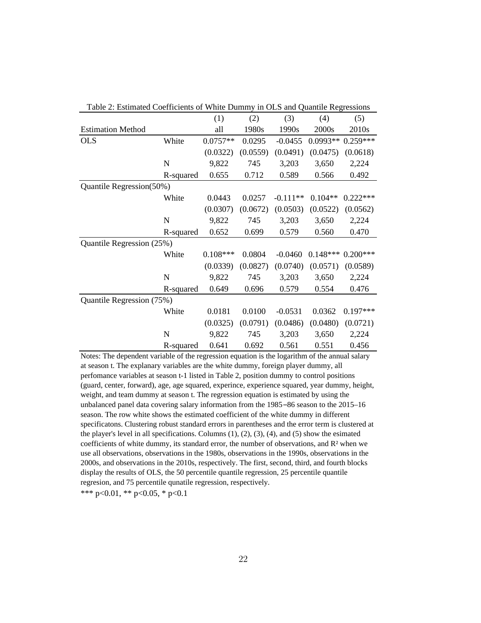| Table 2. Estimated Coefficients of White Duminty in OLS and Quantife Regressions |             |            |          |            |            |            |
|----------------------------------------------------------------------------------|-------------|------------|----------|------------|------------|------------|
|                                                                                  |             | (1)        | (2)      | (3)        | (4)        | (5)        |
| <b>Estimation Method</b>                                                         |             | all        | 1980s    | 1990s      | 2000s      | 2010s      |
| <b>OLS</b>                                                                       | White       | $0.0757**$ | 0.0295   | $-0.0455$  | $0.0993**$ | $0.259***$ |
|                                                                                  |             | (0.0322)   | (0.0559) | (0.0491)   | (0.0475)   | (0.0618)   |
|                                                                                  | $\mathbf N$ | 9,822      | 745      | 3,203      | 3,650      | 2,224      |
|                                                                                  | R-squared   | 0.655      | 0.712    | 0.589      | 0.566      | 0.492      |
| Quantile Regression(50%)                                                         |             |            |          |            |            |            |
|                                                                                  | White       | 0.0443     | 0.0257   | $-0.111**$ | $0.104**$  | $0.222***$ |
|                                                                                  |             | (0.0307)   | (0.0672) | (0.0503)   | (0.0522)   | (0.0562)   |
|                                                                                  | N           | 9,822      | 745      | 3,203      | 3,650      | 2,224      |
|                                                                                  | R-squared   | 0.652      | 0.699    | 0.579      | 0.560      | 0.470      |
| Quantile Regression (25%)                                                        |             |            |          |            |            |            |
|                                                                                  | White       | $0.108***$ | 0.0804   | $-0.0460$  | $0.148***$ | $0.200***$ |
|                                                                                  |             | (0.0339)   | (0.0827) | (0.0740)   | (0.0571)   | (0.0589)   |
|                                                                                  | N           | 9,822      | 745      | 3,203      | 3,650      | 2,224      |
|                                                                                  | R-squared   | 0.649      | 0.696    | 0.579      | 0.554      | 0.476      |
| Quantile Regression (75%)                                                        |             |            |          |            |            |            |
|                                                                                  | White       | 0.0181     | 0.0100   | $-0.0531$  | 0.0362     | $0.197***$ |
|                                                                                  |             | (0.0325)   | (0.0791) | (0.0486)   | (0.0480)   | (0.0721)   |
|                                                                                  | $\mathbf N$ | 9,822      | 745      | 3,203      | 3,650      | 2,224      |
|                                                                                  | R-squared   | 0.641      | 0.692    | 0.561      | 0.551      | 0.456      |

Table 2: Estimated Coefficients of White Dummy in OLS and Quantile Regressions

Notes: The dependent variable of the regression equation is the logarithm of the annual salary at season t. The explanary variables are the white dummy, foreign player dummy, all perfomance variables at season t-1 listed in Table 2, position dummy to control positions (guard, center, forward), age, age squared, experince, experience squared, year dummy, height, weight, and team dummy at season t. The regression equation is estimated by using the unbalanced panel data covering salary information from the 1985 –86 season to the 2015–16 season. The row white shows the estimated coefficient of the white dummy in different specificatons. Clustering robust standard errors in parentheses and the error term is clustered at the player's level in all specifications. Columns  $(1)$ ,  $(2)$ ,  $(3)$ ,  $(4)$ , and  $(5)$  show the esimated coefficients of white dummy, its standard error, the number of observations, and  $\mathbb{R}^2$  when we use all observations, observations in the 1980s, observations in the 1990s, observations in the 2000s, and observations in the 2010s, respectively. The first, second, third, and fourth blocks display the results of OLS, the 50 percentile quantile regression, 25 percentile quantile regresion, and 75 percentile qunatile regression, respectively.

\*\*\* p<0.01, \*\* p<0.05, \* p<0.1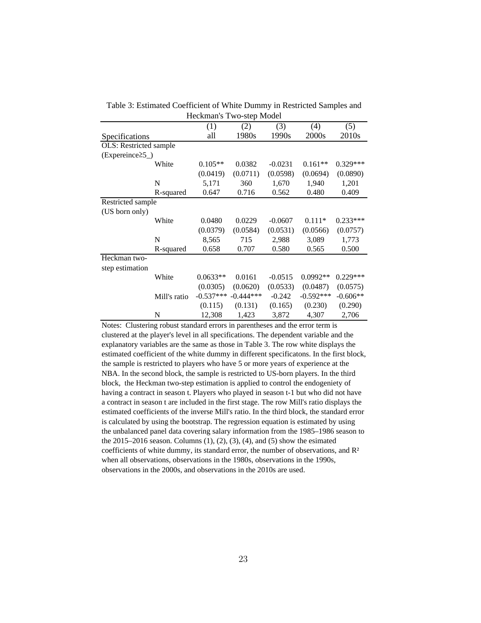|                                |              | Heckman s Two-step Model |             |           |             |                   |
|--------------------------------|--------------|--------------------------|-------------|-----------|-------------|-------------------|
|                                |              | (1)                      | (2)         | (3)       | (4)         | (5)               |
| Specifications                 |              | all                      | 1980s       | 1990s     | 2000s       | 2010 <sub>s</sub> |
| <b>OLS</b> : Restricted sample |              |                          |             |           |             |                   |
| $(Expereine \geq 5)$           |              |                          |             |           |             |                   |
|                                | White        | $0.105**$                | 0.0382      | $-0.0231$ | $0.161**$   | $0.329***$        |
|                                |              | (0.0419)                 | (0.0711)    | (0.0598)  | (0.0694)    | (0.0890)          |
|                                | N            | 5,171                    | 360         | 1,670     | 1,940       | 1,201             |
|                                | R-squared    | 0.647                    | 0.716       | 0.562     | 0.480       | 0.409             |
| Restricted sample              |              |                          |             |           |             |                   |
| (US born only)                 |              |                          |             |           |             |                   |
|                                | White        | 0.0480                   | 0.0229      | $-0.0607$ | $0.111*$    | $0.233***$        |
|                                |              | (0.0379)                 | (0.0584)    | (0.0531)  | (0.0566)    | (0.0757)          |
|                                | N            | 8.565                    | 715         | 2,988     | 3,089       | 1,773             |
|                                | R-squared    | 0.658                    | 0.707       | 0.580     | 0.565       | 0.500             |
| Heckman two-                   |              |                          |             |           |             |                   |
| step estimation                |              |                          |             |           |             |                   |
|                                | White        | $0.0633**$               | 0.0161      | $-0.0515$ | 0.0992 **   | $0.229***$        |
|                                |              | (0.0305)                 | (0.0620)    | (0.0533)  | (0.0487)    | (0.0575)          |
|                                | Mill's ratio | $-0.537***$              | $-0.444***$ | $-0.242$  | $-0.592***$ | $-0.606**$        |
|                                |              | (0.115)                  | (0.131)     | (0.165)   | (0.230)     | (0.290)           |
|                                | N            | 12,308                   | 1,423       | 3,872     | 4,307       | 2,706             |

Table 3: Estimated Coefficient of White Dummy in Restricted Samples and Heckman's Two-step Model

Notes: Clustering robust standard errors in parentheses and the error term is clustered at the player's level in all specifications. The dependent variable and the explanatory variables are the same as those in Table 3. The row white displays the estimated coefficient of the white dummy in different specificatons. In the first block, the sample is restricted to players who have 5 or more years of experience at the NBA. In the second block, the sample is restricted to US-born players. In the third block, the Heckman two-step estimation is applied to control the endogeniety of having a contract in season t. Players who played in season t-1 but who did not have a contract in season t are included in the first stage. The row Mill's ratio displays the estimated coefficients of the inverse Mill's ratio. In the third block, the standard error is calculated by using the bootstrap. The regression equation is estimated by using the unbalanced panel data covering salary information from the 1985–1986 season to the  $2015-2016$  season. Columns  $(1)$ ,  $(2)$ ,  $(3)$ ,  $(4)$ , and  $(5)$  show the esimated coefficients of white dummy, its standard error, the number of observations, and  $\mathbb{R}^2$ when all observations, observations in the 1980s, observations in the 1990s, observations in the 2000s, and observations in the 2010s are used.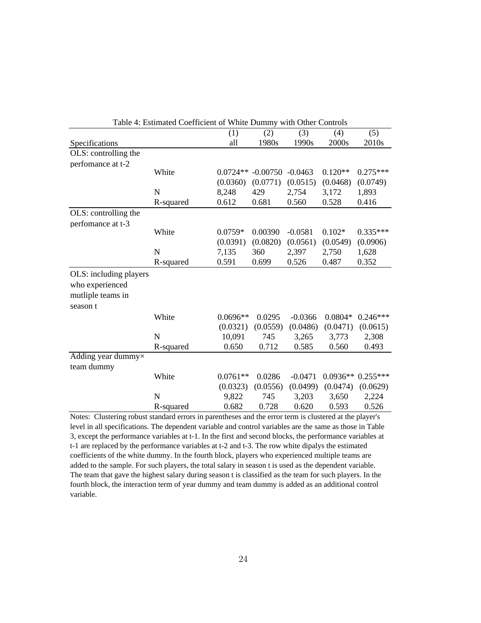| Table 4: Estimated Coefficient of White Dummy with Other Controls |           |            |            |           |           |                    |
|-------------------------------------------------------------------|-----------|------------|------------|-----------|-----------|--------------------|
|                                                                   |           | (1)        | (2)        | (3)       | (4)       | (5)                |
| Specifications                                                    |           | all        | 1980s      | 1990s     | 2000s     | 2010 <sub>s</sub>  |
| OLS: controlling the                                              |           |            |            |           |           |                    |
| perfomance at t-2                                                 |           |            |            |           |           |                    |
|                                                                   | White     | $0.0724**$ | $-0.00750$ | $-0.0463$ | $0.120**$ | $0.275***$         |
|                                                                   |           | (0.0360)   | (0.0771)   | (0.0515)  | (0.0468)  | (0.0749)           |
|                                                                   | N         | 8,248      | 429        | 2,754     | 3,172     | 1,893              |
|                                                                   | R-squared | 0.612      | 0.681      | 0.560     | 0.528     | 0.416              |
| OLS: controlling the                                              |           |            |            |           |           |                    |
| perfomance at t-3                                                 |           |            |            |           |           |                    |
|                                                                   | White     | $0.0759*$  | 0.00390    | $-0.0581$ | $0.102*$  | $0.335***$         |
|                                                                   |           | (0.0391)   | (0.0820)   | (0.0561)  | (0.0549)  | (0.0906)           |
|                                                                   | N         | 7,135      | 360        | 2,397     | 2,750     | 1,628              |
|                                                                   | R-squared | 0.591      | 0.699      | 0.526     | 0.487     | 0.352              |
| OLS: including players                                            |           |            |            |           |           |                    |
| who experienced                                                   |           |            |            |           |           |                    |
| mutliple teams in                                                 |           |            |            |           |           |                    |
| season t                                                          |           |            |            |           |           |                    |
|                                                                   | White     | $0.0696**$ | 0.0295     | $-0.0366$ | $0.0804*$ | $0.246***$         |
|                                                                   |           | (0.0321)   | (0.0559)   | (0.0486)  | (0.0471)  | (0.0615)           |
|                                                                   | N         | 10,091     | 745        | 3,265     | 3,773     | 2,308              |
|                                                                   | R-squared | 0.650      | 0.712      | 0.585     | 0.560     | 0.493              |
| Adding year dummy×                                                |           |            |            |           |           |                    |
| team dummy                                                        |           |            |            |           |           |                    |
|                                                                   | White     | $0.0761**$ | 0.0286     | $-0.0471$ |           | $0.0936**0.255***$ |
|                                                                   |           | (0.0323)   | (0.0556)   | (0.0499)  | (0.0474)  | (0.0629)           |
|                                                                   | N         | 9,822      | 745        | 3,203     | 3,650     | 2,224              |
|                                                                   | R-squared | 0.682      | 0.728      | 0.620     | 0.593     | 0.526              |

Notes: Clustering robust standard errors in parentheses and the error term is clustered at the player's level in all specifications. The dependent variable and control variables are the same as those in Table 3, except the performance variables at t-1. In the first and second blocks, the performance variables at t-1 are replaced by the performance variables at t-2 and t-3. The row white dipalys the estimated coefficients of the white dummy. In the fourth block, players who experienced multiple teams are added to the sample. For such players, the total salary in season t is used as the dependent variable. The team that gave the highest salary during season t is classified as the team for such players. In the fourth block, the interaction term of year dummy and team dummy is added as an additional control variable.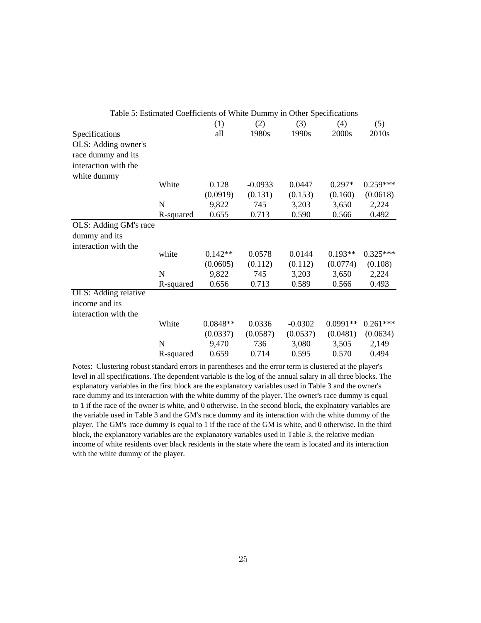| Table 5: Estimated Coefficients of White Dummy in Other Specifications |           |            |           |           |            |            |
|------------------------------------------------------------------------|-----------|------------|-----------|-----------|------------|------------|
|                                                                        |           | (1)        | (2)       | (3)       | (4)        | (5)        |
| Specifications                                                         |           | all        | 1980s     | 1990s     | 2000s      | 2010s      |
| OLS: Adding owner's                                                    |           |            |           |           |            |            |
| race dummy and its                                                     |           |            |           |           |            |            |
| interaction with the                                                   |           |            |           |           |            |            |
| white dummy                                                            |           |            |           |           |            |            |
|                                                                        | White     | 0.128      | $-0.0933$ | 0.0447    | $0.297*$   | $0.259***$ |
|                                                                        |           | (0.0919)   | (0.131)   | (0.153)   | (0.160)    | (0.0618)   |
|                                                                        | N         | 9,822      | 745       | 3,203     | 3,650      | 2,224      |
|                                                                        | R-squared | 0.655      | 0.713     | 0.590     | 0.566      | 0.492      |
| OLS: Adding GM's race                                                  |           |            |           |           |            |            |
| dummy and its                                                          |           |            |           |           |            |            |
| interaction with the                                                   |           |            |           |           |            |            |
|                                                                        | white     | $0.142**$  | 0.0578    | 0.0144    | $0.193**$  | $0.325***$ |
|                                                                        |           | (0.0605)   | (0.112)   | (0.112)   | (0.0774)   | (0.108)    |
|                                                                        | N         | 9,822      | 745       | 3,203     | 3,650      | 2,224      |
|                                                                        | R-squared | 0.656      | 0.713     | 0.589     | 0.566      | 0.493      |
| OLS: Adding relative                                                   |           |            |           |           |            |            |
| income and its                                                         |           |            |           |           |            |            |
| interaction with the                                                   |           |            |           |           |            |            |
|                                                                        | White     | $0.0848**$ | 0.0336    | $-0.0302$ | $0.0991**$ | $0.261***$ |
|                                                                        |           | (0.0337)   | (0.0587)  | (0.0537)  | (0.0481)   | (0.0634)   |
|                                                                        | N         | 9,470      | 736       | 3,080     | 3,505      | 2,149      |
|                                                                        | R-squared | 0.659      | 0.714     | 0.595     | 0.570      | 0.494      |

Notes: Clustering robust standard errors in parentheses and the error term is clustered at the player's level in all specifications. The dependent variable is the log of the annual salary in all three blocks. The explanatory variables in the first block are the explanatory variables used in Table 3 and the owner's race dummy and its interaction with the white dummy of the player. The owner's race dummy is equal to 1 if the race of the owner is white, and 0 otherwise. In the second block, the explnatory variables are the variable used in Table 3 and the GM's race dummy and its interaction with the white dummy of the player. The GM's race dummy is equal to 1 if the race of the GM is white, and 0 otherwise. In the third block, the explanatory variables are the explanatory variables used in Table 3, the relative median income of white residents over black residents in the state where the team is located and its interaction with the white dummy of the player.

Table 5: Estimated Coefficients of White Dummy in Other Specifications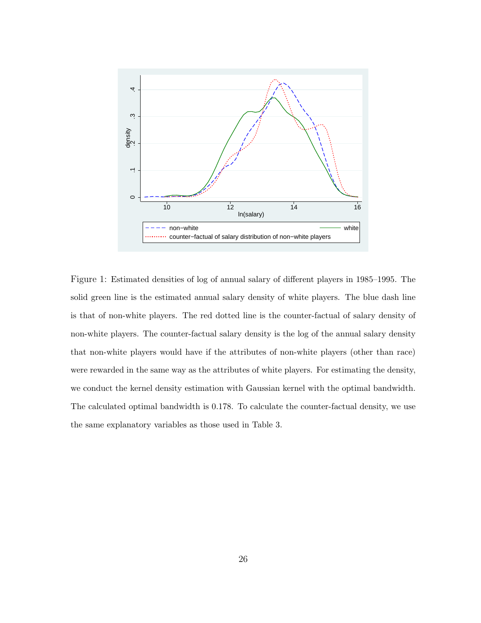

Figure 1: Estimated densities of log of annual salary of different players in 1985–1995. The solid green line is the estimated annual salary density of white players. The blue dash line is that of non-white players. The red dotted line is the counter-factual of salary density of non-white players. The counter-factual salary density is the log of the annual salary density that non-white players would have if the attributes of non-white players (other than race) were rewarded in the same way as the attributes of white players. For estimating the density, we conduct the kernel density estimation with Gaussian kernel with the optimal bandwidth. The calculated optimal bandwidth is 0.178. To calculate the counter-factual density, we use the same explanatory variables as those used in Table 3.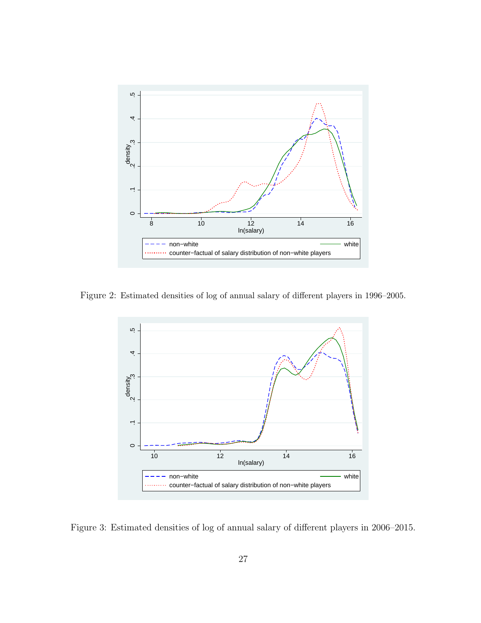

Figure 2: Estimated densities of log of annual salary of different players in 1996–2005.



Figure 3: Estimated densities of log of annual salary of different players in 2006–2015.